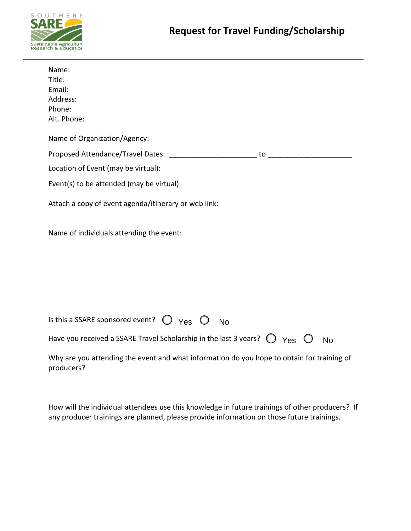

| Name:<br>Title:<br>Email:<br>Address:<br>Phone:<br>Alt. Phone:                                           |           |  |
|----------------------------------------------------------------------------------------------------------|-----------|--|
| Name of Organization/Agency:                                                                             |           |  |
|                                                                                                          |           |  |
| Location of Event (may be virtual):                                                                      |           |  |
| Event(s) to be attended (may be virtual):                                                                |           |  |
| Attach a copy of event agenda/itinerary or web link:                                                     |           |  |
| Name of individuals attending the event:                                                                 |           |  |
|                                                                                                          |           |  |
|                                                                                                          |           |  |
|                                                                                                          |           |  |
|                                                                                                          |           |  |
| Is this a SSARE sponsored event? $\bigcirc$ Yes $\bigcirc$ No                                            |           |  |
| Have you received a SSARE Travel Scholarship in the last 3 years? $\bigcirc$ Yes $\bigcirc$              | <b>No</b> |  |
| Why are you attending the event and what information do you hope to obtain for training of<br>producers? |           |  |

How will the individual attendees use this knowledge in future trainings of other producers? If any producer trainings are planned, please provide information on those future trainings.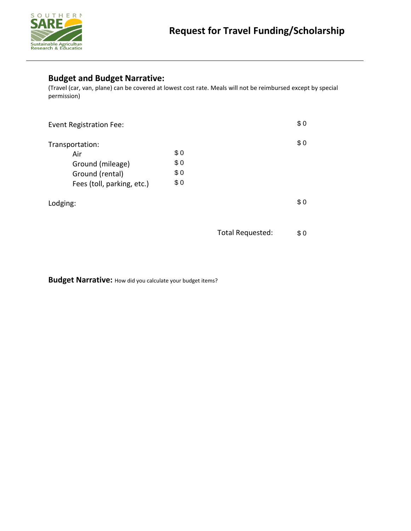

Total Requested:

\$ 0

## **Budget and Budget Narrative:**

(Travel (car, van, plane) can be covered at lowest cost rate. Meals will not be reimbursed except by special permission)

| <b>Event Registration Fee:</b> |     | \$0 |
|--------------------------------|-----|-----|
| Transportation:                |     | \$0 |
| Air                            | \$0 |     |
| Ground (mileage)               | \$0 |     |
| Ground (rental)                | \$0 |     |
| Fees (toll, parking, etc.)     | \$0 |     |
| Lodging:                       |     | \$0 |
|                                |     |     |

**Budget Narrative:** How did you calculate your budget items?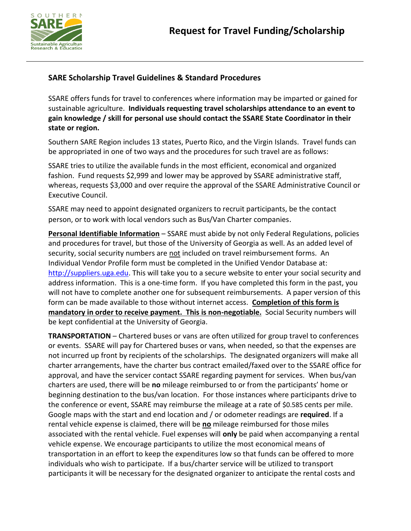

## **SARE Scholarship Travel Guidelines & Standard Procedures**

SSARE offers funds for travel to conferences where information may be imparted or gained for sustainable agriculture. **Individuals requesting travel scholarships attendance to an event to gain knowledge / skill for personal use should contact the SSARE State Coordinator in their state or region.**

Southern SARE Region includes 13 states, Puerto Rico, and the Virgin Islands. Travel funds can be appropriated in one of two ways and the procedures for such travel are as follows:

SSARE tries to utilize the available funds in the most efficient, economical and organized fashion. Fund requests \$2,999 and lower may be approved by SSARE administrative staff, whereas, requests \$3,000 and over require the approval of the SSARE Administrative Council or Executive Council.

SSARE may need to appoint designated organizers to recruit participants, be the contact person, or to work with local vendors such as Bus/Van Charter companies.

**Personal Identifiable Information** – SSARE must abide by not only Federal Regulations, policies and procedures for travel, but those of the University of Georgia as well. As an added level of security, social security numbers are not included on travel reimbursement forms. An Individual Vendor Profile form must be completed in the Unified Vendor Database at: [http://suppliers.uga.edu.](http://suppliers.uga.edu/) This will take you to a secure website to enter your social security and address information. This is a one-time form. If you have completed this form in the past, you will not have to complete another one for subsequent reimbursements. A paper version of this form can be made available to those without internet access. **Completion of this form is mandatory in order to receive payment. This is non-negotiable.** Social Security numbers will be kept confidential at the University of Georgia.

**TRANSPORTATION** – Chartered buses or vans are often utilized for group travel to conferences or events. SSARE will pay for Chartered buses or vans, when needed, so that the expenses are not incurred up front by recipients of the scholarships. The designated organizers will make all charter arrangements, have the charter bus contract emailed/faxed over to the SSARE office for approval, and have the servicer contact SSARE regarding payment for services. When bus/van charters are used, there will be **no** mileage reimbursed to or from the participants' home or beginning destination to the bus/van location. For those instances where participants drive to the conference or event, SSARE may reimburse the mileage at a rate of \$0.585 cents per mile. Google maps with the start and end location and / or odometer readings are **required**. If a rental vehicle expense is claimed, there will be **no** mileage reimbursed for those miles associated with the rental vehicle. Fuel expenses will **only** be paid when accompanying a rental vehicle expense. We encourage participants to utilize the most economical means of transportation in an effort to keep the expenditures low so that funds can be offered to more individuals who wish to participate. If a bus/charter service will be utilized to transport participants it will be necessary for the designated organizer to anticipate the rental costs and